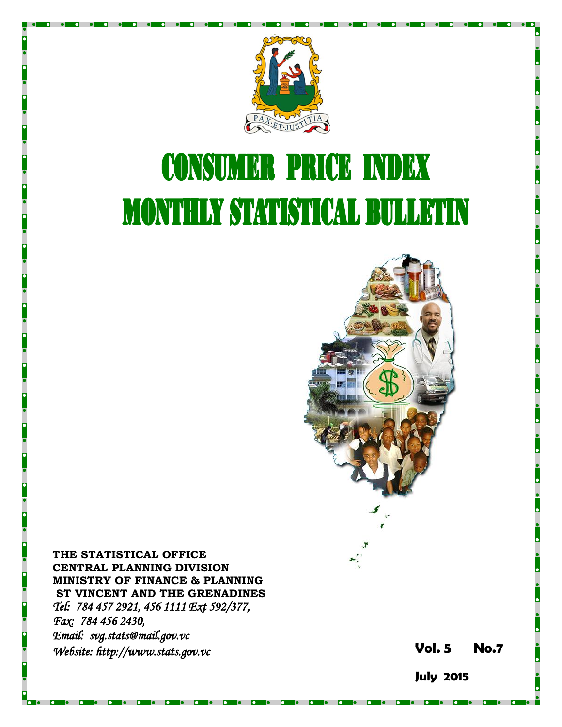

# **CONSUMER PRICE INDEX MONTHLY STATISTICAL BULLETIN**



**THE STATISTICAL OFFICE CENTRAL PLANNING DIVISION MINISTRY OF FINANCE & PLANNING ST VINCENT AND THE GRENADINES** *Tel: 784 457 2921, 456 1111 Ext 592/377, Fax: 784 456 2430, Email: svg.stats@mail.gov.vc Website: http://www.stats.gov.vc* **Vol.** 

**5 No. 7**

**July 2015**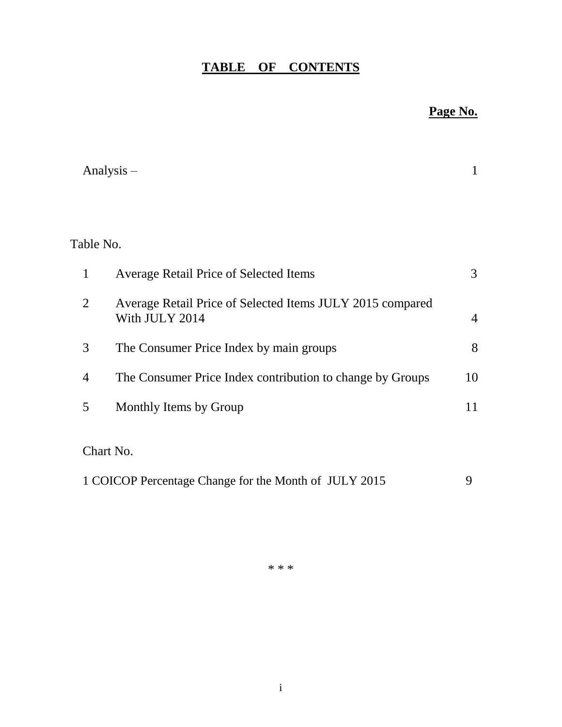# **TABLE OF CONTENTS**

# **Page No.**

|                | Analysis $-$                                                                |                |
|----------------|-----------------------------------------------------------------------------|----------------|
|                |                                                                             |                |
| Table No.      |                                                                             |                |
| $\mathbf{1}$   | <b>Average Retail Price of Selected Items</b>                               | 3              |
| $\overline{2}$ | Average Retail Price of Selected Items JULY 2015 compared<br>With JULY 2014 | $\overline{4}$ |
| 3              | The Consumer Price Index by main groups                                     | 8              |
| 4              | The Consumer Price Index contribution to change by Groups                   | 10             |
| 5              | Monthly Items by Group                                                      | 11             |
|                | Chart No.                                                                   |                |
|                | 1 COICOP Percentage Change for the Month of JULY 2015                       | 9              |

\* \* \*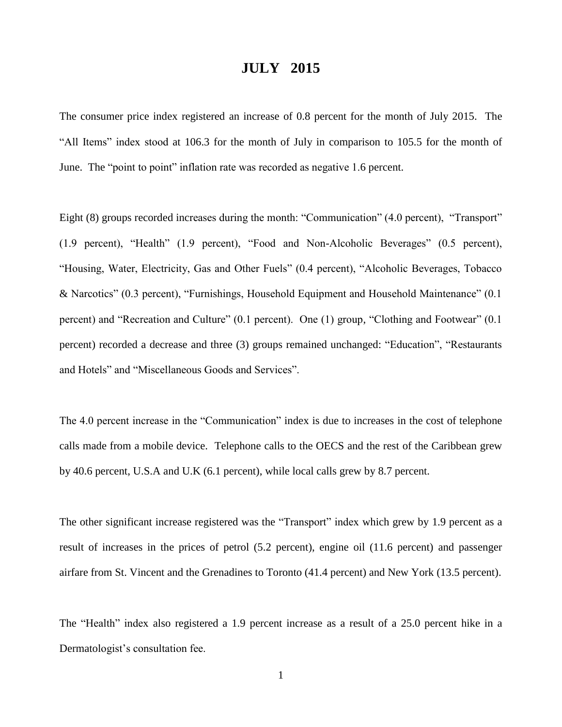## **JULY 2015**

The consumer price index registered an increase of 0.8 percent for the month of July 2015. The "All Items" index stood at 106.3 for the month of July in comparison to 105.5 for the month of June. The "point to point" inflation rate was recorded as negative 1.6 percent.

Eight (8) groups recorded increases during the month: "Communication" (4.0 percent), "Transport" (1.9 percent), "Health" (1.9 percent), "Food and Non-Alcoholic Beverages" (0.5 percent), "Housing, Water, Electricity, Gas and Other Fuels" (0.4 percent), "Alcoholic Beverages, Tobacco & Narcotics" (0.3 percent), "Furnishings, Household Equipment and Household Maintenance" (0.1 percent) and "Recreation and Culture" (0.1 percent). One (1) group, "Clothing and Footwear" (0.1 percent) recorded a decrease and three (3) groups remained unchanged: "Education", "Restaurants and Hotels" and "Miscellaneous Goods and Services".

The 4.0 percent increase in the "Communication" index is due to increases in the cost of telephone calls made from a mobile device. Telephone calls to the OECS and the rest of the Caribbean grew by 40.6 percent, U.S.A and U.K (6.1 percent), while local calls grew by 8.7 percent.

The other significant increase registered was the "Transport" index which grew by 1.9 percent as a result of increases in the prices of petrol (5.2 percent), engine oil (11.6 percent) and passenger airfare from St. Vincent and the Grenadines to Toronto (41.4 percent) and New York (13.5 percent).

The "Health" index also registered a 1.9 percent increase as a result of a 25.0 percent hike in a Dermatologist's consultation fee.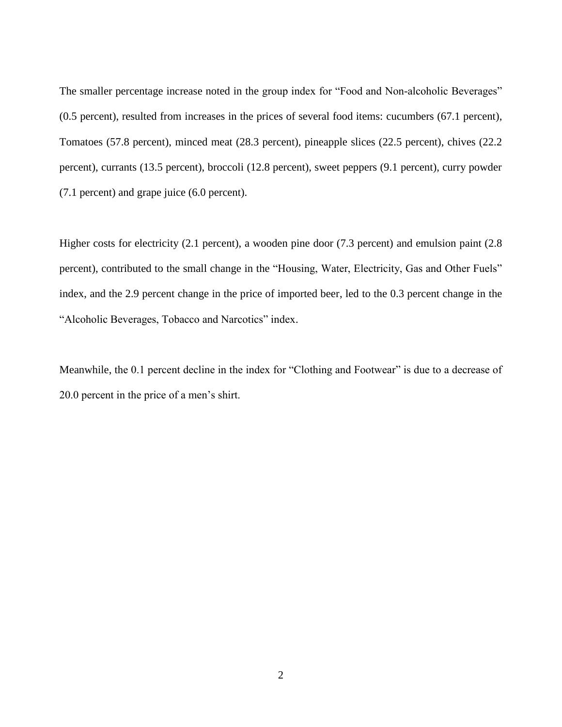The smaller percentage increase noted in the group index for "Food and Non-alcoholic Beverages" (0.5 percent), resulted from increases in the prices of several food items: cucumbers (67.1 percent), Tomatoes (57.8 percent), minced meat (28.3 percent), pineapple slices (22.5 percent), chives (22.2 percent), currants (13.5 percent), broccoli (12.8 percent), sweet peppers (9.1 percent), curry powder (7.1 percent) and grape juice (6.0 percent).

Higher costs for electricity (2.1 percent), a wooden pine door (7.3 percent) and emulsion paint (2.8 percent), contributed to the small change in the "Housing, Water, Electricity, Gas and Other Fuels" index, and the 2.9 percent change in the price of imported beer, led to the 0.3 percent change in the "Alcoholic Beverages, Tobacco and Narcotics" index.

Meanwhile, the 0.1 percent decline in the index for "Clothing and Footwear" is due to a decrease of 20.0 percent in the price of a men's shirt.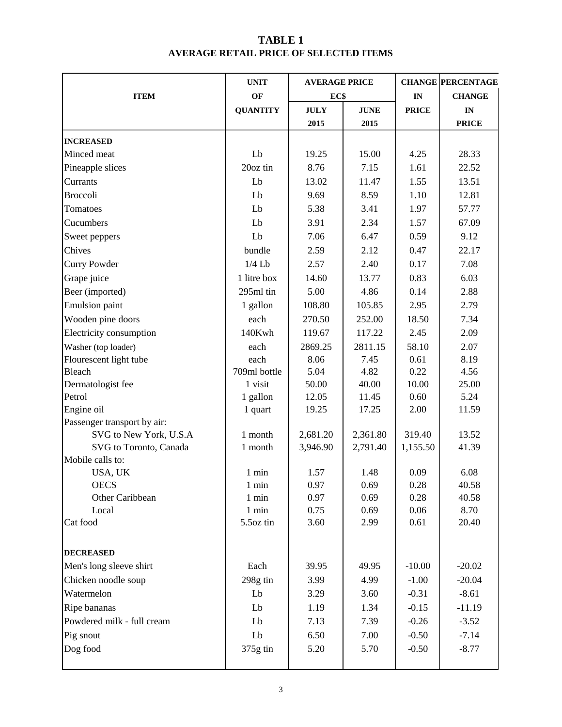## **TABLE 1 AVERAGE RETAIL PRICE OF SELECTED ITEMS**

|                             | <b>UNIT</b>     | <b>AVERAGE PRICE</b> |             |              | <b>CHANGE PERCENTAGE</b> |  |
|-----------------------------|-----------------|----------------------|-------------|--------------|--------------------------|--|
| <b>ITEM</b>                 | OF              | EC\$                 |             | IN           | <b>CHANGE</b>            |  |
|                             | <b>QUANTITY</b> | <b>JULY</b>          | <b>JUNE</b> | <b>PRICE</b> | $\mathbf{IN}$            |  |
|                             |                 | 2015                 | 2015        |              | <b>PRICE</b>             |  |
| <b>INCREASED</b>            |                 |                      |             |              |                          |  |
| Minced meat                 | Lb              | 19.25                | 15.00       | 4.25         | 28.33                    |  |
| Pineapple slices            | 20oz tin        | 8.76                 | 7.15        | 1.61         | 22.52                    |  |
| Currants                    | Lb              | 13.02                | 11.47       | 1.55         | 13.51                    |  |
| <b>Broccoli</b>             | Lb              | 9.69                 | 8.59        | 1.10         | 12.81                    |  |
| Tomatoes                    | Lb              | 5.38                 | 3.41        | 1.97         | 57.77                    |  |
| Cucumbers                   | Lb              | 3.91                 | 2.34        | 1.57         | 67.09                    |  |
| Sweet peppers               | Lb              | 7.06                 | 6.47        | 0.59         | 9.12                     |  |
| Chives                      | bundle          | 2.59                 | 2.12        | 0.47         | 22.17                    |  |
| <b>Curry Powder</b>         | $1/4$ Lb        | 2.57                 | 2.40        | 0.17         | 7.08                     |  |
| Grape juice                 | 1 litre box     | 14.60                | 13.77       | 0.83         | 6.03                     |  |
| Beer (imported)             | 295ml tin       | 5.00                 | 4.86        | 0.14         | 2.88                     |  |
| <b>Emulsion</b> paint       | 1 gallon        | 108.80               | 105.85      | 2.95         | 2.79                     |  |
| Wooden pine doors           | each            | 270.50               | 252.00      | 18.50        | 7.34                     |  |
| Electricity consumption     | 140Kwh          | 119.67               | 117.22      | 2.45         | 2.09                     |  |
| Washer (top loader)         | each            | 2869.25              | 2811.15     | 58.10        | 2.07                     |  |
| Flourescent light tube      | each            | 8.06                 | 7.45        | 0.61         | 8.19                     |  |
| <b>Bleach</b>               | 709ml bottle    | 5.04                 | 4.82        | 0.22         | 4.56                     |  |
| Dermatologist fee           | 1 visit         | 50.00                | 40.00       | 10.00        | 25.00                    |  |
| Petrol                      | 1 gallon        | 12.05                | 11.45       | 0.60         | 5.24                     |  |
| Engine oil                  | 1 quart         | 19.25                | 17.25       | 2.00         | 11.59                    |  |
| Passenger transport by air: |                 |                      |             |              |                          |  |
| SVG to New York, U.S.A      | 1 month         | 2,681.20             | 2,361.80    | 319.40       | 13.52                    |  |
| SVG to Toronto, Canada      | 1 month         | 3,946.90             | 2,791.40    | 1,155.50     | 41.39                    |  |
| Mobile calls to:            |                 |                      |             |              |                          |  |
| USA, UK                     | 1 min           | 1.57                 | 1.48        | 0.09         | 6.08                     |  |
| <b>OECS</b>                 | 1 min           | 0.97                 | 0.69        | 0.28         | 40.58                    |  |
| Other Caribbean             | 1 min           | 0.97                 | 0.69        | 0.28         | 40.58                    |  |
| Local                       | $1$ min         | 0.75                 | 0.69        | 0.06         | 8.70                     |  |
| Cat food                    | 5.5oz tin       | 3.60                 | 2.99        | 0.61         | 20.40                    |  |
| <b>DECREASED</b>            |                 |                      |             |              |                          |  |
| Men's long sleeve shirt     | Each            | 39.95                | 49.95       | $-10.00$     | $-20.02$                 |  |
| Chicken noodle soup         | 298g tin        | 3.99                 | 4.99        | $-1.00$      | $-20.04$                 |  |
| Watermelon                  | Lb              | 3.29                 | 3.60        | $-0.31$      | $-8.61$                  |  |
| Ripe bananas                | Lb              | 1.19                 | 1.34        | $-0.15$      | $-11.19$                 |  |
| Powdered milk - full cream  | Lb              | 7.13                 | 7.39        | $-0.26$      | $-3.52$                  |  |
| Pig snout                   | Lb              | 6.50                 | 7.00        | $-0.50$      | $-7.14$                  |  |
|                             |                 |                      |             |              |                          |  |
| Dog food                    | 375g tin        | 5.20                 | 5.70        | $-0.50$      | $-8.77$                  |  |
|                             |                 |                      |             |              |                          |  |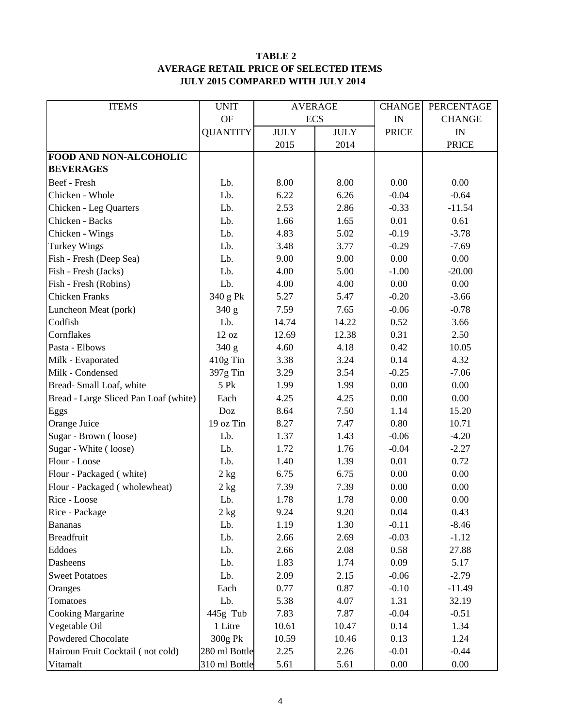#### **TABLE 2 AVERAGE RETAIL PRICE OF SELECTED ITEMS JULY 2015 COMPARED WITH JULY 2014**

| <b>ITEMS</b>                          | <b>UNIT</b>      | <b>AVERAGE</b> |             | <b>CHANGE</b>            | PERCENTAGE    |
|---------------------------------------|------------------|----------------|-------------|--------------------------|---------------|
|                                       | <b>OF</b>        | EC\$           |             | $\ensuremath{\text{IN}}$ | <b>CHANGE</b> |
|                                       | <b>QUANTITY</b>  | <b>JULY</b>    | <b>JULY</b> | <b>PRICE</b>             | IN            |
|                                       |                  | 2015           | 2014        |                          | <b>PRICE</b>  |
| FOOD AND NON-ALCOHOLIC                |                  |                |             |                          |               |
| <b>BEVERAGES</b>                      |                  |                |             |                          |               |
| Beef - Fresh                          | Lb.              | 8.00           | 8.00        | 0.00                     | 0.00          |
| Chicken - Whole                       | Lb.              | 6.22           | 6.26        | $-0.04$                  | $-0.64$       |
| Chicken - Leg Quarters                | Lb.              | 2.53           | 2.86        | $-0.33$                  | $-11.54$      |
| Chicken - Backs                       | Lb.              | 1.66           | 1.65        | 0.01                     | 0.61          |
| Chicken - Wings                       | Lb.              | 4.83           | 5.02        | $-0.19$                  | $-3.78$       |
| <b>Turkey Wings</b>                   | Lb.              | 3.48           | 3.77        | $-0.29$                  | $-7.69$       |
| Fish - Fresh (Deep Sea)               | Lb.              | 9.00           | 9.00        | 0.00                     | 0.00          |
| Fish - Fresh (Jacks)                  | Lb.              | 4.00           | 5.00        | $-1.00$                  | $-20.00$      |
| Fish - Fresh (Robins)                 | Lb.              | 4.00           | 4.00        | 0.00                     | 0.00          |
| <b>Chicken Franks</b>                 | 340 g Pk         | 5.27           | 5.47        | $-0.20$                  | $-3.66$       |
| Luncheon Meat (pork)                  | 340 g            | 7.59           | 7.65        | $-0.06$                  | $-0.78$       |
| Codfish                               | Lb.              | 14.74          | 14.22       | 0.52                     | 3.66          |
| Cornflakes                            | 12 oz            | 12.69          | 12.38       | 0.31                     | 2.50          |
| Pasta - Elbows                        | 340 g            | 4.60           | 4.18        | 0.42                     | 10.05         |
| Milk - Evaporated                     | 410g Tin         | 3.38<br>3.24   |             | 0.14                     | 4.32          |
| Milk - Condensed                      | 397g Tin         | 3.29           | 3.54        | $-0.25$                  | $-7.06$       |
| Bread-Small Loaf, white               | 5 Pk             | 1.99           | 1.99        | 0.00                     | 0.00          |
| Bread - Large Sliced Pan Loaf (white) | Each             | 4.25           | 4.25        | 0.00                     | 0.00          |
| Eggs                                  | Doz              | 8.64           | 7.50        | 1.14                     | 15.20         |
| Orange Juice                          | 19 oz Tin        | 8.27           | 7.47        | 0.80                     | 10.71         |
| Sugar - Brown (loose)                 | Lb.              | 1.37           | 1.43        | $-0.06$                  | $-4.20$       |
| Sugar - White (loose)                 | Lb.              | 1.72           | 1.76        | $-0.04$                  | $-2.27$       |
| Flour - Loose                         | Lb.              | 1.40           | 1.39        | 0.01                     | 0.72          |
| Flour - Packaged (white)              | 2 kg             | 6.75           | 6.75        | 0.00                     | 0.00          |
| Flour - Packaged (wholewheat)         | 2 kg             | 7.39           | 7.39        | 0.00                     | 0.00          |
| Rice - Loose                          | Lb.              | 1.78           | 1.78        | 0.00                     | 0.00          |
| Rice - Package                        | $2\ \mathrm{kg}$ | 9.24           | 9.20        | 0.04                     | 0.43          |
| <b>Bananas</b>                        | Lb.              | 1.19           | 1.30        | $-0.11$                  | $-8.46$       |
| <b>Breadfruit</b>                     | Lb.              | 2.66           | 2.69        | $-0.03$                  | $-1.12$       |
| Eddoes                                | Lb.              | 2.66           | 2.08        | 0.58                     | 27.88         |
| Dasheens                              | Lb.              | 1.83           | 1.74        | 0.09                     | 5.17          |
| <b>Sweet Potatoes</b>                 | Lb.              | 2.09           | 2.15        | $-0.06$                  | $-2.79$       |
| Oranges                               | Each             | 0.77           | 0.87        | $-0.10$                  | $-11.49$      |
| Tomatoes                              | Lb.              | 5.38           | 4.07        | 1.31                     | 32.19         |
| <b>Cooking Margarine</b>              | 445g Tub         | 7.83           | 7.87        | $-0.04$                  | $-0.51$       |
| Vegetable Oil                         | 1 Litre          | 10.61          | 10.47       | 0.14                     | 1.34          |
| Powdered Chocolate                    | 300g Pk          | 10.59          | 10.46       | 0.13                     | 1.24          |
| Hairoun Fruit Cocktail (not cold)     | 280 ml Bottle    | 2.25           | 2.26        | $-0.01$                  | $-0.44$       |
| Vitamalt                              | 310 ml Bottle    | 5.61           | 5.61        | 0.00                     | 0.00          |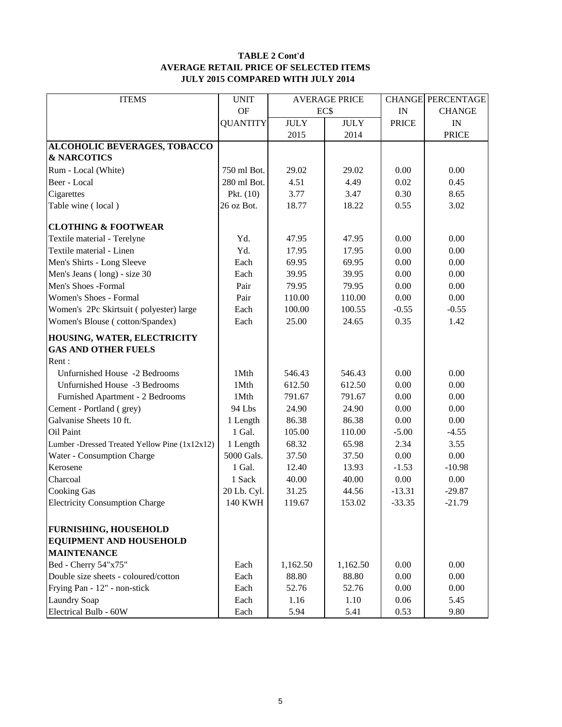#### **TABLE 2 Cont'd AVERAGE RETAIL PRICE OF SELECTED ITEMS JULY 2015 COMPARED WITH JULY 2014**

| <b>ITEMS</b>                                  | <b>UNIT</b>     | <b>AVERAGE PRICE</b> |             |              | <b>CHANGE PERCENTAGE</b> |
|-----------------------------------------------|-----------------|----------------------|-------------|--------------|--------------------------|
|                                               | <b>OF</b>       |                      | EC\$        |              | <b>CHANGE</b>            |
|                                               | <b>QUANTITY</b> | <b>JULY</b>          | <b>JULY</b> | <b>PRICE</b> | $\mathbf{IN}$            |
|                                               |                 | 2015                 | 2014        |              | <b>PRICE</b>             |
| <b>ALCOHOLIC BEVERAGES, TOBACCO</b>           |                 |                      |             |              |                          |
| <b>&amp; NARCOTICS</b>                        |                 |                      |             |              |                          |
| Rum - Local (White)                           | 750 ml Bot.     | 29.02                | 29.02       | 0.00         | 0.00                     |
| Beer - Local                                  | 280 ml Bot.     | 4.51                 | 4.49        | 0.02         | 0.45                     |
| Cigarettes                                    | Pkt. $(10)$     | 3.77                 | 3.47        | 0.30         | 8.65                     |
| Table wine (local)                            | 26 oz Bot.      | 18.77                | 18.22       | 0.55         | 3.02                     |
| <b>CLOTHING &amp; FOOTWEAR</b>                |                 |                      |             |              |                          |
| Textile material - Terelyne                   | Yd.             | 47.95                | 47.95       | 0.00         | 0.00                     |
| Textile material - Linen                      | Yd.             | 17.95                | 17.95       | 0.00         | 0.00                     |
| Men's Shirts - Long Sleeve                    | Each            | 69.95                | 69.95       | 0.00         | 0.00                     |
| Men's Jeans (long) - size 30                  | Each            | 39.95                | 39.95       | 0.00         | $0.00\,$                 |
| Men's Shoes -Formal                           | Pair            | 79.95                | 79.95       | 0.00         | $0.00\,$                 |
| Women's Shoes - Formal                        | Pair            | 110.00               | 110.00      | 0.00         | 0.00                     |
| Women's 2Pc Skirtsuit (polyester) large       | Each            | 100.00               | 100.55      | $-0.55$      | $-0.55$                  |
| Women's Blouse (cotton/Spandex)               | Each            | 25.00                | 24.65       | 0.35         | 1.42                     |
| HOUSING, WATER, ELECTRICITY                   |                 |                      |             |              |                          |
| <b>GAS AND OTHER FUELS</b>                    |                 |                      |             |              |                          |
| Rent:                                         |                 |                      |             |              |                          |
| Unfurnished House -2 Bedrooms                 | 1Mth            | 546.43               | 546.43      | 0.00         | 0.00                     |
| Unfurnished House -3 Bedrooms                 | 1Mth            | 612.50               | 612.50      | 0.00         | 0.00                     |
| Furnished Apartment - 2 Bedrooms              | 1Mth            | 791.67               | 791.67      | 0.00         | 0.00                     |
| Cement - Portland (grey)                      | 94 Lbs          | 24.90                | 24.90       | 0.00         | 0.00                     |
| Galvanise Sheets 10 ft.                       | 1 Length        | 86.38                | 86.38       | 0.00         | 0.00                     |
| Oil Paint                                     | 1 Gal.          | 105.00               | 110.00      | $-5.00$      | $-4.55$                  |
| Lumber -Dressed Treated Yellow Pine (1x12x12) | 1 Length        | 68.32                | 65.98       | 2.34         | 3.55                     |
| Water - Consumption Charge                    | 5000 Gals.      | 37.50                | 37.50       | 0.00         | 0.00                     |
| Kerosene                                      | 1 Gal.          | 12.40                | 13.93       | $-1.53$      | $-10.98$                 |
| Charcoal                                      | 1 Sack          | 40.00                | 40.00       | 0.00         | 0.00                     |
| <b>Cooking Gas</b>                            | 20 Lb. Cyl.     | 31.25                | 44.56       | $-13.31$     | $-29.87$                 |
| <b>Electricity Consumption Charge</b>         | <b>140 KWH</b>  | 119.67               | 153.02      | 33.35        | $-21.79$                 |
| <b>FURNISHING, HOUSEHOLD</b>                  |                 |                      |             |              |                          |
| <b>EQUIPMENT AND HOUSEHOLD</b>                |                 |                      |             |              |                          |
| <b>MAINTENANCE</b>                            |                 |                      |             |              |                          |
| Bed - Cherry 54"x75"                          | Each            | 1,162.50             | 1,162.50    | 0.00         | 0.00                     |
| Double size sheets - coloured/cotton          | Each            | 88.80                | 88.80       | 0.00         | 0.00                     |
| Frying Pan - 12" - non-stick                  | Each            | 52.76                | 52.76       | 0.00         | 0.00                     |
| <b>Laundry Soap</b>                           | Each            | 1.16                 | 1.10        | 0.06         | 5.45                     |
| Electrical Bulb - 60W                         | Each            | 5.94                 | 5.41        | 0.53         | 9.80                     |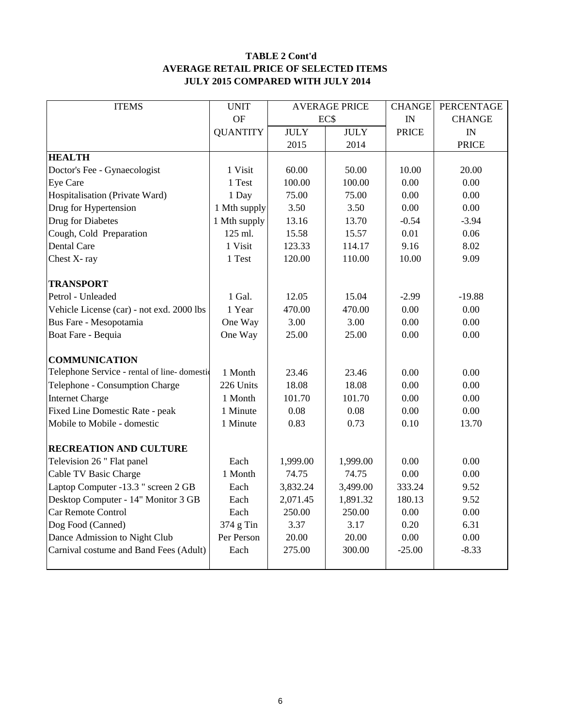### **TABLE 2 Cont'd AVERAGE RETAIL PRICE OF SELECTED ITEMS JULY 2015 COMPARED WITH JULY 2014**

| <b>ITEMS</b>                                | <b>UNIT</b>     | <b>AVERAGE PRICE</b> |             | <b>CHANGE</b> | <b>PERCENTAGE</b> |
|---------------------------------------------|-----------------|----------------------|-------------|---------------|-------------------|
|                                             | OF              |                      | EC\$        | IN            | <b>CHANGE</b>     |
|                                             | <b>QUANTITY</b> | <b>JULY</b>          | <b>JULY</b> | <b>PRICE</b>  | IN                |
|                                             |                 | 2015                 | 2014        |               | <b>PRICE</b>      |
| <b>HEALTH</b>                               |                 |                      |             |               |                   |
| Doctor's Fee - Gynaecologist                | 1 Visit         | 60.00                | 50.00       | 10.00         | 20.00             |
| Eye Care                                    | 1 Test          | 100.00               | 100.00      | 0.00          | 0.00              |
| Hospitalisation (Private Ward)              | 1 Day           | 75.00                | 75.00       | 0.00          | 0.00              |
| Drug for Hypertension                       | 1 Mth supply    | 3.50                 | 3.50        | 0.00          | 0.00              |
| Drug for Diabetes                           | 1 Mth supply    | 13.16                | 13.70       | $-0.54$       | $-3.94$           |
| Cough, Cold Preparation                     | 125 ml.         | 15.58                | 15.57       | 0.01          | 0.06              |
| Dental Care                                 | 1 Visit         | 123.33               | 114.17      | 9.16          | 8.02              |
| Chest X-ray                                 | 1 Test          | 120.00               | 110.00      | 10.00         | 9.09              |
|                                             |                 |                      |             |               |                   |
| <b>TRANSPORT</b>                            |                 |                      |             |               |                   |
| Petrol - Unleaded                           | 1 Gal.          | 12.05                | 15.04       | $-2.99$       | $-19.88$          |
| Vehicle License (car) - not exd. 2000 lbs   | 1 Year          | 470.00<br>470.00     |             | 0.00          | 0.00              |
| Bus Fare - Mesopotamia                      | One Way         | 3.00<br>3.00<br>0.00 |             |               | 0.00              |
| Boat Fare - Bequia                          | One Way         | 25.00                | 25.00       | 0.00          | 0.00              |
|                                             |                 |                      |             |               |                   |
| <b>COMMUNICATION</b>                        |                 |                      |             |               |                   |
| Telephone Service - rental of line-domestic | 1 Month         | 23.46                | 23.46       | 0.00          | 0.00              |
| Telephone - Consumption Charge              | 226 Units       | 18.08                | 18.08       | 0.00          | 0.00              |
| <b>Internet Charge</b>                      | 1 Month         | 101.70               | 101.70      | 0.00          | 0.00              |
| Fixed Line Domestic Rate - peak             | 1 Minute        | 0.08                 | 0.08        | 0.00          | 0.00              |
| Mobile to Mobile - domestic                 | 1 Minute        | 0.83                 | 0.73        | 0.10          | 13.70             |
|                                             |                 |                      |             |               |                   |
| <b>RECREATION AND CULTURE</b>               |                 |                      |             |               |                   |
| Television 26 " Flat panel                  | Each            | 1,999.00             | 1,999.00    | 0.00          | 0.00              |
| Cable TV Basic Charge                       | 1 Month         | 74.75                | 74.75       | 0.00          | 0.00              |
| Laptop Computer -13.3 " screen 2 GB         | Each            | 3,832.24             | 3,499.00    | 333.24        | 9.52              |
| Desktop Computer - 14" Monitor 3 GB         | Each            | 2,071.45             | 1,891.32    | 180.13        | 9.52              |
| Car Remote Control                          | Each            | 250.00               | 250.00      | 0.00          | 0.00              |
| Dog Food (Canned)                           | 374 g Tin       | 3.37                 | 3.17        | 0.20          | 6.31              |
| Dance Admission to Night Club               | Per Person      | 20.00                | 20.00       | 0.00          | 0.00              |
| Carnival costume and Band Fees (Adult)      | Each            | 275.00               | 300.00      | $-25.00$      | $-8.33$           |
|                                             |                 |                      |             |               |                   |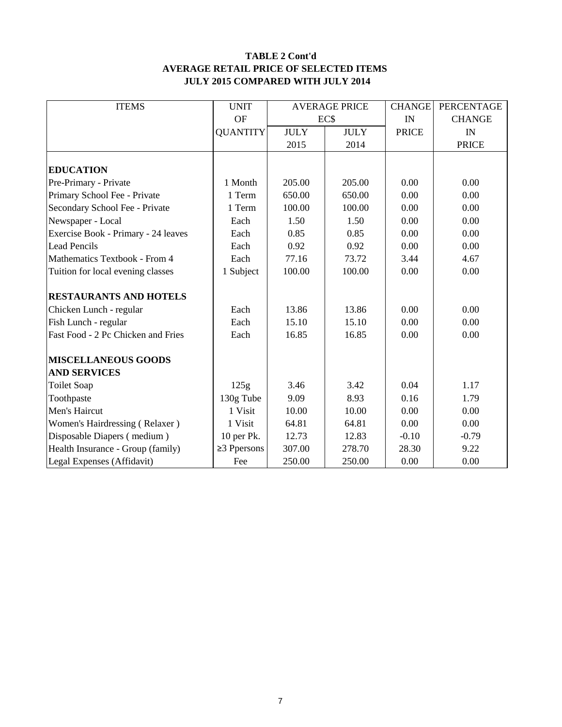#### **TABLE 2 Cont'd AVERAGE RETAIL PRICE OF SELECTED ITEMS JULY 2015 COMPARED WITH JULY 2014**

| <b>ITEMS</b>                        | <b>UNIT</b>       |                | <b>AVERAGE PRICE</b> | <b>CHANGE</b> | PERCENTAGE    |
|-------------------------------------|-------------------|----------------|----------------------|---------------|---------------|
|                                     | <b>OF</b>         | EC\$           |                      | IN            | <b>CHANGE</b> |
|                                     | <b>QUANTITY</b>   | <b>JULY</b>    | <b>JULY</b>          | <b>PRICE</b>  | IN            |
|                                     |                   | 2015           | 2014                 |               | <b>PRICE</b>  |
|                                     |                   |                |                      |               |               |
| <b>EDUCATION</b>                    |                   |                |                      |               |               |
| Pre-Primary - Private               | 1 Month           | 205.00         | 205.00               | 0.00          | 0.00          |
| Primary School Fee - Private        | 1 Term            | 650.00         | 650.00               | 0.00          | 0.00          |
| Secondary School Fee - Private      | 1 Term            | 100.00         | 100.00               | 0.00          | 0.00          |
| Newspaper - Local                   | Each              | 1.50           | 1.50                 | 0.00          | 0.00          |
| Exercise Book - Primary - 24 leaves | Each              | 0.85           | 0.85                 | 0.00          | 0.00          |
| <b>Lead Pencils</b>                 | Each              | 0.92           | 0.92                 | 0.00          | 0.00          |
| Mathematics Textbook - From 4       | Each              | 77.16          | 73.72                | 3.44          | 4.67          |
| Tuition for local evening classes   | 1 Subject         | 100.00         | 100.00               | 0.00          | 0.00          |
|                                     |                   |                |                      |               |               |
| <b>RESTAURANTS AND HOTELS</b>       |                   |                |                      |               |               |
| Chicken Lunch - regular             | Each              | 13.86          | 13.86                | 0.00          | 0.00          |
| Fish Lunch - regular                | Each              | 15.10          | 15.10                | 0.00          | 0.00          |
| Fast Food - 2 Pc Chicken and Fries  | Each              | 16.85<br>16.85 |                      | 0.00          | 0.00          |
| <b>MISCELLANEOUS GOODS</b>          |                   |                |                      |               |               |
| <b>AND SERVICES</b>                 |                   |                |                      |               |               |
|                                     |                   | 3.46           | 3.42                 | 0.04          | 1.17          |
| <b>Toilet Soap</b>                  | 125g              |                |                      |               |               |
| Toothpaste                          | 130g Tube         | 9.09           | 8.93                 | 0.16          | 1.79          |
| Men's Haircut                       | 1 Visit           | 10.00          | 10.00                | 0.00          | 0.00          |
| Women's Hairdressing (Relaxer)      | 1 Visit           | 64.81          | 64.81                | 0.00          | 0.00          |
| Disposable Diapers (medium)         | 10 per Pk.        | 12.73          | 12.83                | $-0.10$       | $-0.79$       |
| Health Insurance - Group (family)   | $\geq$ 3 Ppersons | 307.00         | 278.70               | 28.30         | 9.22          |
| Legal Expenses (Affidavit)          | Fee               | 250.00         | 250.00               | 0.00          | 0.00          |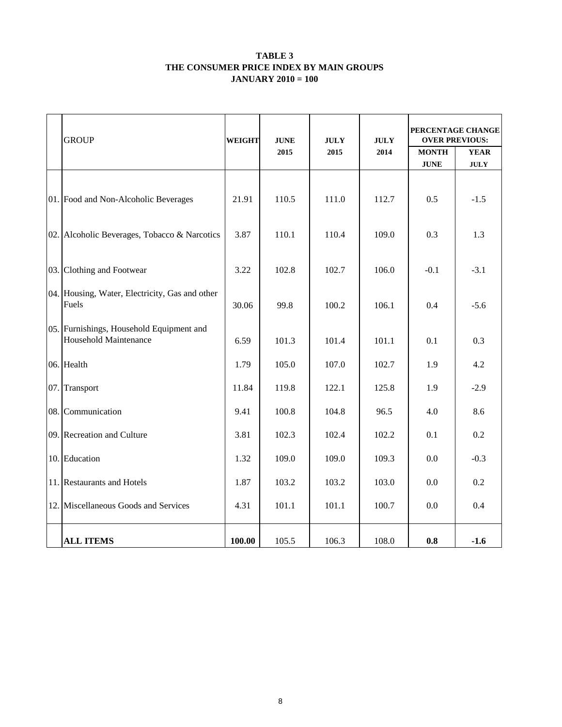#### **TABLE 3 THE CONSUMER PRICE INDEX BY MAIN GROUPS JANUARY 2010 = 100**

|     | <b>GROUP</b>                                                             | <b>WEIGHT</b><br><b>JUNE</b><br>2015 |       | <b>JULY</b><br>2015 | <b>JULY</b><br>2014 | PERCENTAGE CHANGE<br><b>OVER PREVIOUS:</b><br><b>MONTH</b><br><b>YEAR</b> |             |  |
|-----|--------------------------------------------------------------------------|--------------------------------------|-------|---------------------|---------------------|---------------------------------------------------------------------------|-------------|--|
|     |                                                                          |                                      |       |                     |                     | <b>JUNE</b>                                                               | <b>JULY</b> |  |
|     | 01. Food and Non-Alcoholic Beverages                                     | 21.91                                | 110.5 | 111.0               | 112.7               | 0.5                                                                       | $-1.5$      |  |
|     | 02. Alcoholic Beverages, Tobacco & Narcotics                             | 3.87                                 | 110.1 | 110.4               | 109.0               | 0.3                                                                       | 1.3         |  |
| 03. | Clothing and Footwear                                                    | 3.22                                 | 102.8 | 102.7               | 106.0               | $-0.1$                                                                    | $-3.1$      |  |
|     | 04. Housing, Water, Electricity, Gas and other<br>Fuels                  | 30.06                                | 99.8  | 100.2               | 106.1               | 0.4                                                                       | $-5.6$      |  |
|     | 05. Furnishings, Household Equipment and<br><b>Household Maintenance</b> | 6.59                                 | 101.3 | 101.4               | 101.1               | 0.1                                                                       | 0.3         |  |
|     | 06. Health                                                               | 1.79                                 | 105.0 | 107.0               | 102.7               | 1.9                                                                       | 4.2         |  |
| 07. | Transport                                                                | 11.84                                | 119.8 | 122.1               | 125.8               | 1.9                                                                       | $-2.9$      |  |
| 08. | Communication                                                            | 9.41                                 | 100.8 | 104.8               | 96.5                | 4.0                                                                       | 8.6         |  |
|     | 09. Recreation and Culture                                               | 3.81                                 | 102.3 | 102.4               | 102.2               | 0.1                                                                       | 0.2         |  |
|     | 10. Education                                                            | 1.32                                 | 109.0 | 109.0               | 109.3               | 0.0                                                                       | $-0.3$      |  |
|     | 11. Restaurants and Hotels                                               | 1.87                                 | 103.2 | 103.2               | 103.0               | 0.0                                                                       | 0.2         |  |
|     | 12. Miscellaneous Goods and Services                                     | 4.31                                 | 101.1 | 101.1               | 100.7               | 0.0                                                                       | 0.4         |  |
|     | <b>ALL ITEMS</b>                                                         | 100.00                               | 105.5 | 106.3               | 108.0               | 0.8                                                                       | $-1.6$      |  |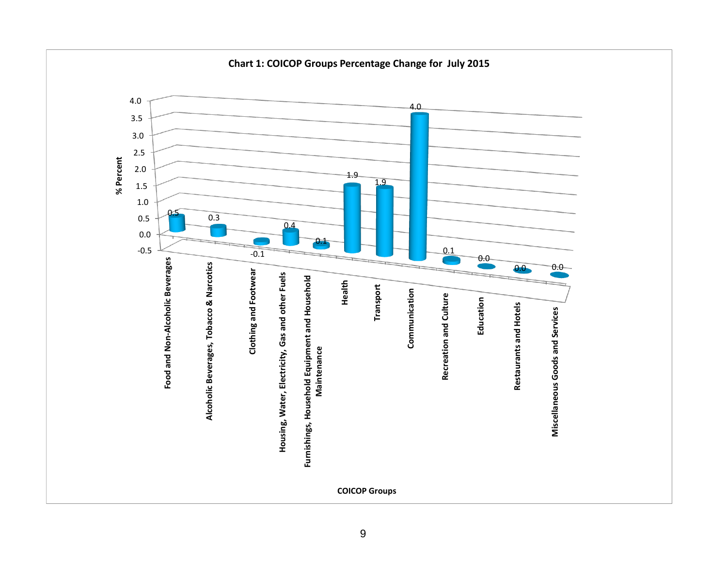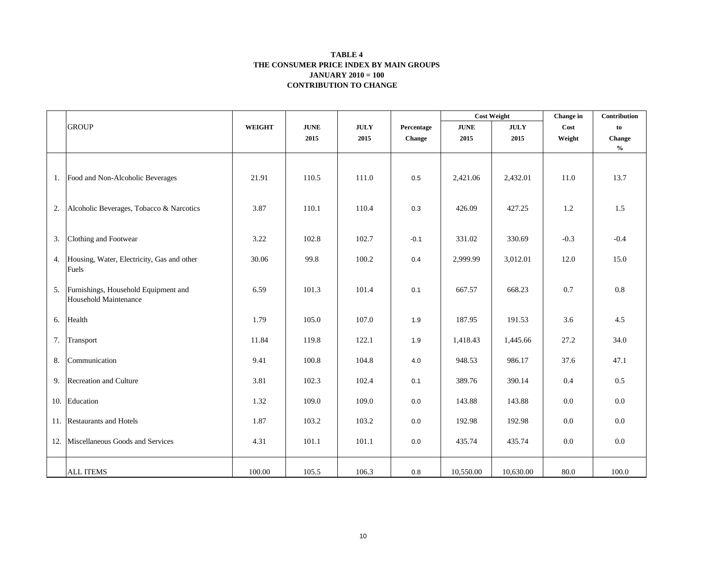#### **CONTRIBUTION TO CHANGE TABLE 4 THE CONSUMER PRICE INDEX BY MAIN GROUPS JANUARY 2010 = 100**

|    |                                                               |               |             |             |            | <b>Cost Weight</b> |             | Change in | Contribution                       |
|----|---------------------------------------------------------------|---------------|-------------|-------------|------------|--------------------|-------------|-----------|------------------------------------|
|    | <b>GROUP</b>                                                  | <b>WEIGHT</b> | <b>JUNE</b> | <b>JULY</b> | Percentage | <b>JUNE</b>        | <b>JULY</b> | Cost      | to                                 |
|    |                                                               |               | 2015        | 2015        | Change     | 2015               | 2015        | Weight    | Change                             |
|    |                                                               |               |             |             |            |                    |             |           | $\mathbf{0}_{\mathbf{0}}^{\prime}$ |
|    |                                                               |               |             |             |            |                    |             |           |                                    |
|    | 1. Food and Non-Alcoholic Beverages                           | 21.91         | 110.5       | 111.0       | 0.5        | 2,421.06           | 2,432.01    | 11.0      | 13.7                               |
|    |                                                               |               |             |             |            |                    |             |           |                                    |
|    |                                                               |               |             |             |            |                    |             |           |                                    |
| 2. | Alcoholic Beverages, Tobacco & Narcotics                      | 3.87          | 110.1       | 110.4       | 0.3        | 426.09             | 427.25      | 1.2       | 1.5                                |
|    |                                                               |               |             |             |            |                    |             |           |                                    |
| 3. | Clothing and Footwear                                         | 3.22          | 102.8       | 102.7       | $-0.1$     | 331.02             | 330.69      | $-0.3$    | $-0.4$                             |
|    | 4. Housing, Water, Electricity, Gas and other                 | 30.06         | 99.8        | 100.2       | 0.4        | 2,999.99           | 3,012.01    | 12.0      | 15.0                               |
|    | Fuels                                                         |               |             |             |            |                    |             |           |                                    |
|    |                                                               |               |             |             |            |                    |             |           |                                    |
| 5. | Furnishings, Household Equipment and<br>Household Maintenance | 6.59          | 101.3       | 101.4       | 0.1        | 667.57             | 668.23      | 0.7       | $0.8\,$                            |
|    |                                                               |               |             |             |            |                    |             |           |                                    |
| 6. | Health                                                        | 1.79          | 105.0       | 107.0       | 1.9        | 187.95             | 191.53      | 3.6       | 4.5                                |
|    |                                                               |               |             |             |            |                    |             |           |                                    |
| 7. | Transport                                                     | 11.84         | 119.8       | 122.1       | 1.9        | 1,418.43           | 1,445.66    | 27.2      | 34.0                               |
| 8. | Communication                                                 | 9.41          | 100.8       | 104.8       | 4.0        | 948.53             | 986.17      | 37.6      | 47.1                               |
|    |                                                               |               |             |             |            |                    |             |           |                                    |
|    | 9. Recreation and Culture                                     | 3.81          | 102.3       | 102.4       | 0.1        | 389.76             | 390.14      | 0.4       | 0.5                                |
|    | 10. Education                                                 | 1.32          | 109.0       | 109.0       | 0.0        | 143.88             | 143.88      | 0.0       | $0.0\,$                            |
|    |                                                               |               |             |             |            |                    |             |           |                                    |
|    | 11. Restaurants and Hotels                                    | 1.87          | 103.2       | 103.2       | 0.0        | 192.98             | 192.98      | 0.0       | $0.0\,$                            |
|    | 12. Miscellaneous Goods and Services                          | 4.31          | 101.1       | 101.1       | 0.0        | 435.74             | 435.74      | 0.0       | $0.0\,$                            |
|    |                                                               |               |             |             |            |                    |             |           |                                    |
|    |                                                               |               |             |             |            |                    |             |           |                                    |
|    | <b>ALL ITEMS</b>                                              | 100.00        | 105.5       | 106.3       | 0.8        | 10,550.00          | 10,630.00   | 80.0      | 100.0                              |